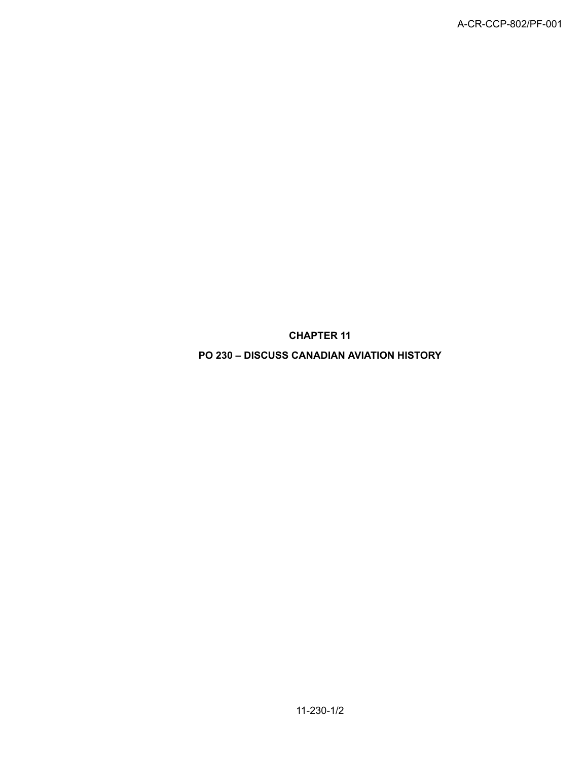**CHAPTER 11**

**PO 230 – DISCUSS CANADIAN AVIATION HISTORY**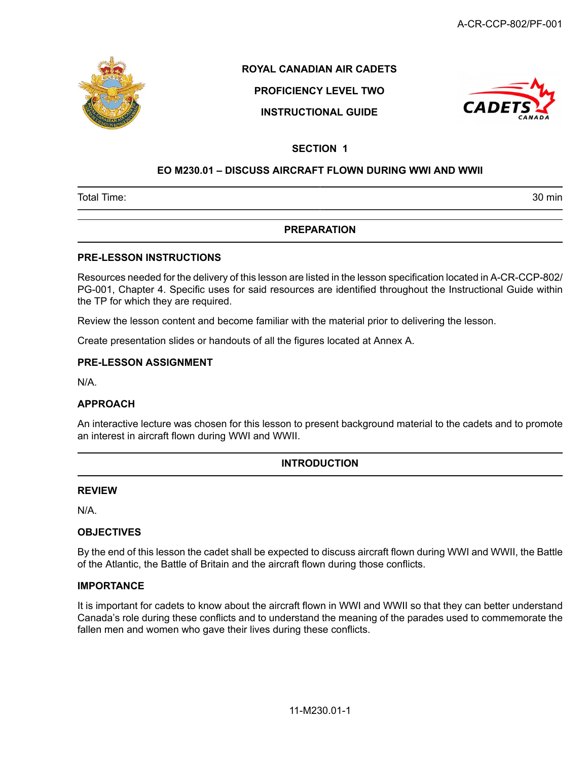

# **ROYAL CANADIAN AIR CADETS**

# **PROFICIENCY LEVEL TWO INSTRUCTIONAL GUIDE**



# **SECTION 1**

## **EO M230.01 – DISCUSS AIRCRAFT FLOWN DURING WWI AND WWII**

Total Time: 30 min

## **PREPARATION**

## **PRE-LESSON INSTRUCTIONS**

Resources needed for the delivery of this lesson are listed in the lesson specification located in A-CR-CCP-802/ PG-001, Chapter 4. Specific uses for said resources are identified throughout the Instructional Guide within the TP for which they are required.

Review the lesson content and become familiar with the material prior to delivering the lesson.

Create presentation slides or handouts of all the figures located at Annex A.

## **PRE-LESSON ASSIGNMENT**

N/A.

## **APPROACH**

An interactive lecture was chosen for this lesson to present background material to the cadets and to promote an interest in aircraft flown during WWI and WWII.

## **INTRODUCTION**

## **REVIEW**

N/A.

## **OBJECTIVES**

By the end of this lesson the cadet shall be expected to discuss aircraft flown during WWI and WWII, the Battle of the Atlantic, the Battle of Britain and the aircraft flown during those conflicts.

## **IMPORTANCE**

It is important for cadets to know about the aircraft flown in WWI and WWII so that they can better understand Canada's role during these conflicts and to understand the meaning of the parades used to commemorate the fallen men and women who gave their lives during these conflicts.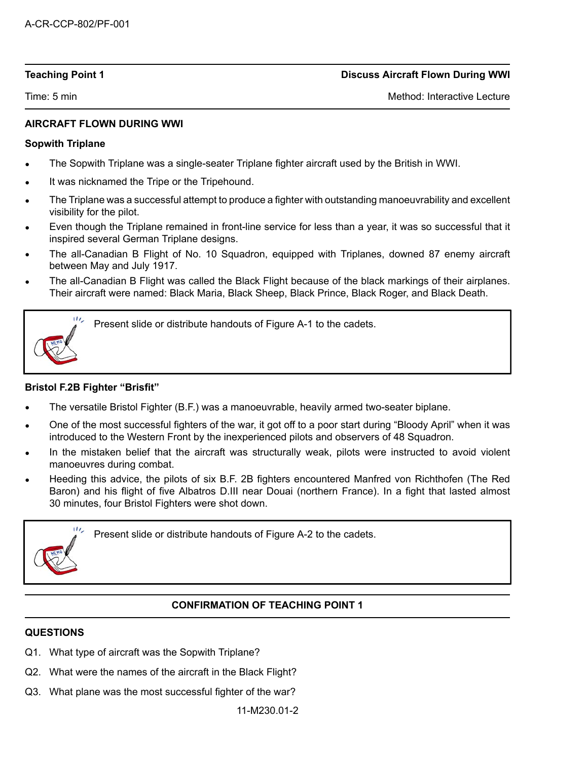**Teaching Point 1 Discuss Aircraft Flown During WWI**

Time: 5 min Method: Interactive Lecture Communication of the Method: Interactive Lecture

## **AIRCRAFT FLOWN DURING WWI**

## **Sopwith Triplane**

- The Sopwith Triplane was a single-seater Triplane fighter aircraft used by the British in WWI.
- It was nicknamed the Tripe or the Tripehound.
- The Triplane was a successful attempt to produce a fighter with outstanding manoeuvrability and excellent visibility for the pilot.
- Even though the Triplane remained in front-line service for less than a year, it was so successful that it inspired several German Triplane designs.
- The all-Canadian B Flight of No. 10 Squadron, equipped with Triplanes, downed 87 enemy aircraft between May and July 1917.
- The all-Canadian B Flight was called the Black Flight because of the black markings of their airplanes. Their aircraft were named: Black Maria, Black Sheep, Black Prince, Black Roger, and Black Death.



Present slide or distribute handouts of Figure A-1 to the cadets.

## **Bristol F.2B Fighter "Brisfit"**

- The versatile Bristol Fighter (B.F.) was a manoeuvrable, heavily armed two-seater biplane.
- One of the most successful fighters of the war, it got off to a poor start during "Bloody April" when it was introduced to the Western Front by the inexperienced pilots and observers of 48 Squadron.
- In the mistaken belief that the aircraft was structurally weak, pilots were instructed to avoid violent manoeuvres during combat.
- Heeding this advice, the pilots of six B.F. 2B fighters encountered Manfred von Richthofen (The Red Baron) and his flight of five Albatros D.III near Douai (northern France). In a fight that lasted almost 30 minutes, four Bristol Fighters were shot down.



Present slide or distribute handouts of Figure A-2 to the cadets.

# **CONFIRMATION OF TEACHING POINT 1**

## **QUESTIONS**

- Q1. What type of aircraft was the Sopwith Triplane?
- Q2. What were the names of the aircraft in the Black Flight?
- Q3. What plane was the most successful fighter of the war?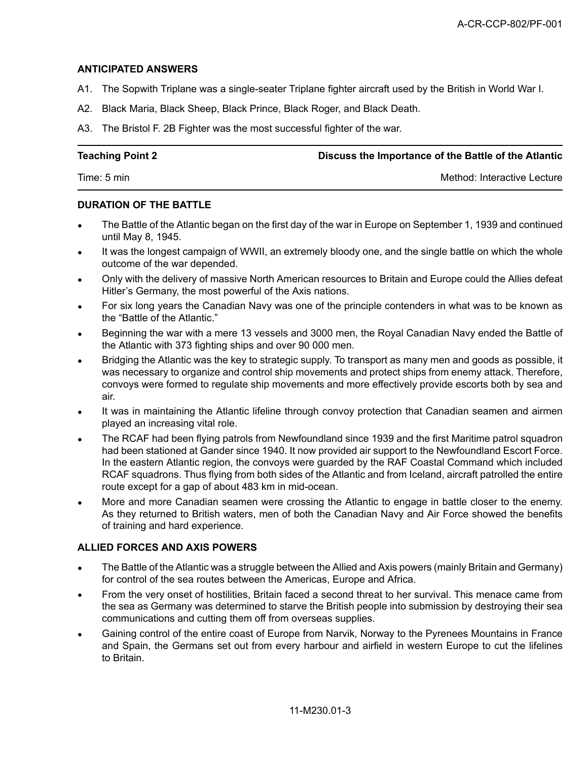## **ANTICIPATED ANSWERS**

- A1. The Sopwith Triplane was a single-seater Triplane fighter aircraft used by the British in World War I.
- A2. Black Maria, Black Sheep, Black Prince, Black Roger, and Black Death.

A3. The Bristol F. 2B Fighter was the most successful fighter of the war.

## **Teaching Point 2 Discuss the Importance of the Battle of the Atlantic**

## Time: 5 min Method: Interactive Lecture Company of Time: 5 min Method: Interactive Lecture

## **DURATION OF THE BATTLE**

- The Battle of the Atlantic began on the first day of the war in Europe on September 1, 1939 and continued until May 8, 1945.
- It was the longest campaign of WWII, an extremely bloody one, and the single battle on which the whole outcome of the war depended.
- Only with the delivery of massive North American resources to Britain and Europe could the Allies defeat Hitler's Germany, the most powerful of the Axis nations.
- For six long years the Canadian Navy was one of the principle contenders in what was to be known as the "Battle of the Atlantic."
- Beginning the war with a mere 13 vessels and 3000 men, the Royal Canadian Navy ended the Battle of the Atlantic with 373 fighting ships and over 90 000 men.
- Bridging the Atlantic was the key to strategic supply. To transport as many men and goods as possible, it was necessary to organize and control ship movements and protect ships from enemy attack. Therefore, convoys were formed to regulate ship movements and more effectively provide escorts both by sea and air.
- It was in maintaining the Atlantic lifeline through convoy protection that Canadian seamen and airmen played an increasing vital role.
- The RCAF had been flying patrols from Newfoundland since 1939 and the first Maritime patrol squadron had been stationed at Gander since 1940. It now provided air support to the Newfoundland Escort Force. In the eastern Atlantic region, the convoys were guarded by the RAF Coastal Command which included RCAF squadrons. Thus flying from both sides of the Atlantic and from Iceland, aircraft patrolled the entire route except for a gap of about 483 km in mid-ocean.
- More and more Canadian seamen were crossing the Atlantic to engage in battle closer to the enemy. As they returned to British waters, men of both the Canadian Navy and Air Force showed the benefits of training and hard experience.

## **ALLIED FORCES AND AXIS POWERS**

- The Battle of the Atlantic was a struggle between the Allied and Axis powers (mainly Britain and Germany) for control of the sea routes between the Americas, Europe and Africa.
- From the very onset of hostilities, Britain faced a second threat to her survival. This menace came from the sea as Germany was determined to starve the British people into submission by destroying their sea communications and cutting them off from overseas supplies.
- Gaining control of the entire coast of Europe from Narvik, Norway to the Pyrenees Mountains in France and Spain, the Germans set out from every harbour and airfield in western Europe to cut the lifelines to Britain.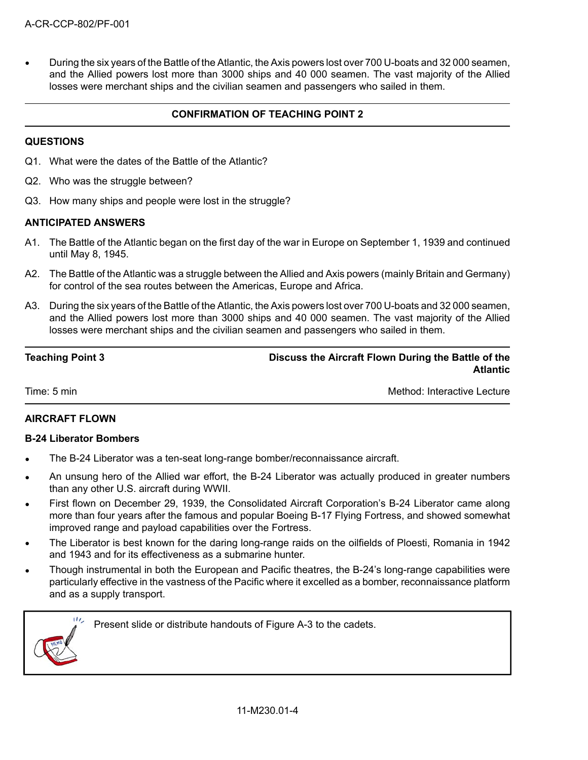• During the six years of the Battle of the Atlantic, the Axis powers lost over 700 U-boats and 32 000 seamen, and the Allied powers lost more than 3000 ships and 40 000 seamen. The vast majority of the Allied losses were merchant ships and the civilian seamen and passengers who sailed in them.

# **CONFIRMATION OF TEACHING POINT 2**

## **QUESTIONS**

- Q1. What were the dates of the Battle of the Atlantic?
- Q2. Who was the struggle between?
- Q3. How many ships and people were lost in the struggle?

## **ANTICIPATED ANSWERS**

- A1. The Battle of the Atlantic began on the first day of the war in Europe on September 1, 1939 and continued until May 8, 1945.
- A2. The Battle of the Atlantic was a struggle between the Allied and Axis powers (mainly Britain and Germany) for control of the sea routes between the Americas, Europe and Africa.
- A3. During the six years of the Battle of the Atlantic, the Axis powers lost over 700 U-boats and 32 000 seamen, and the Allied powers lost more than 3000 ships and 40 000 seamen. The vast majority of the Allied losses were merchant ships and the civilian seamen and passengers who sailed in them.

**Teaching Point 3 Discuss the Aircraft Flown During the Battle of the Atlantic**

Time: 5 min Method: Interactive Lecture Company of Time: 5 min Method: Interactive Lecture

## **AIRCRAFT FLOWN**

## **B-24 Liberator Bombers**

- The B-24 Liberator was a ten-seat long-range bomber/reconnaissance aircraft.
- An unsung hero of the Allied war effort, the B-24 Liberator was actually produced in greater numbers than any other U.S. aircraft during WWII.
- First flown on December 29, 1939, the Consolidated Aircraft Corporation's B-24 Liberator came along more than four years after the famous and popular Boeing B-17 Flying Fortress, and showed somewhat improved range and payload capabilities over the Fortress.
- The Liberator is best known for the daring long-range raids on the oilfields of Ploesti, Romania in 1942 and 1943 and for its effectiveness as a submarine hunter.
- Though instrumental in both the European and Pacific theatres, the B-24's long-range capabilities were particularly effective in the vastness of the Pacific where it excelled as a bomber, reconnaissance platform and as a supply transport.



Present slide or distribute handouts of Figure A-3 to the cadets.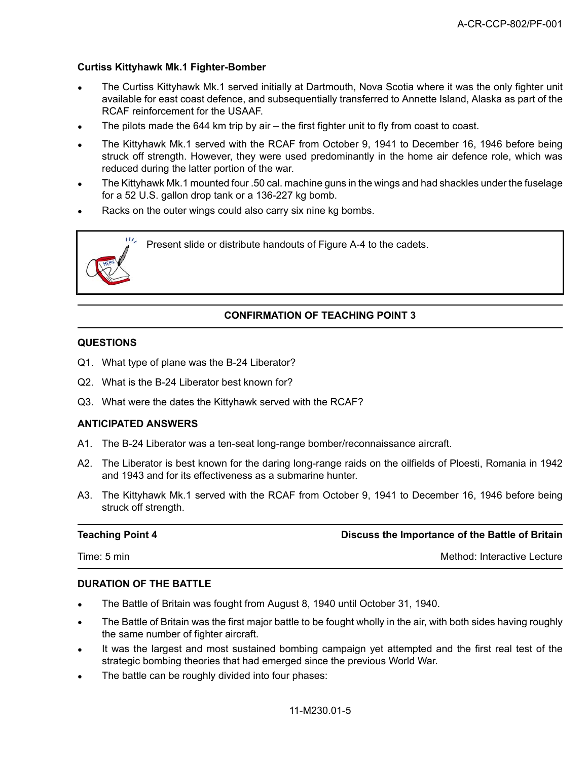## **Curtiss Kittyhawk Mk.1 Fighter-Bomber**

- The Curtiss Kittyhawk Mk.1 served initially at Dartmouth, Nova Scotia where it was the only fighter unit available for east coast defence, and subsequentially transferred to Annette Island, Alaska as part of the RCAF reinforcement for the USAAF.
- The pilots made the 644 km trip by air the first fighter unit to fly from coast to coast.
- The Kittyhawk Mk.1 served with the RCAF from October 9, 1941 to December 16, 1946 before being struck off strength. However, they were used predominantly in the home air defence role, which was reduced during the latter portion of the war.
- The Kittyhawk Mk.1 mounted four .50 cal. machine guns in the wings and had shackles under the fuselage for a 52 U.S. gallon drop tank or a 136-227 kg bomb.
- Racks on the outer wings could also carry six nine kg bombs.



Present slide or distribute handouts of Figure A-4 to the cadets.

# **CONFIRMATION OF TEACHING POINT 3**

## **QUESTIONS**

- Q1. What type of plane was the B-24 Liberator?
- Q2. What is the B-24 Liberator best known for?
- Q3. What were the dates the Kittyhawk served with the RCAF?

## **ANTICIPATED ANSWERS**

- A1. The B-24 Liberator was a ten-seat long-range bomber/reconnaissance aircraft.
- A2. The Liberator is best known for the daring long-range raids on the oilfields of Ploesti, Romania in 1942 and 1943 and for its effectiveness as a submarine hunter.
- A3. The Kittyhawk Mk.1 served with the RCAF from October 9, 1941 to December 16, 1946 before being struck off strength.

**Teaching Point 4 Discuss the Importance of the Battle of Britain**

# Time: 5 min Method: Interactive Lecture Company of Time: 5 min Method: Interactive Lecture

## **DURATION OF THE BATTLE**

- The Battle of Britain was fought from August 8, 1940 until October 31, 1940.
- The Battle of Britain was the first major battle to be fought wholly in the air, with both sides having roughly the same number of fighter aircraft.
- It was the largest and most sustained bombing campaign yet attempted and the first real test of the strategic bombing theories that had emerged since the previous World War.
- The battle can be roughly divided into four phases: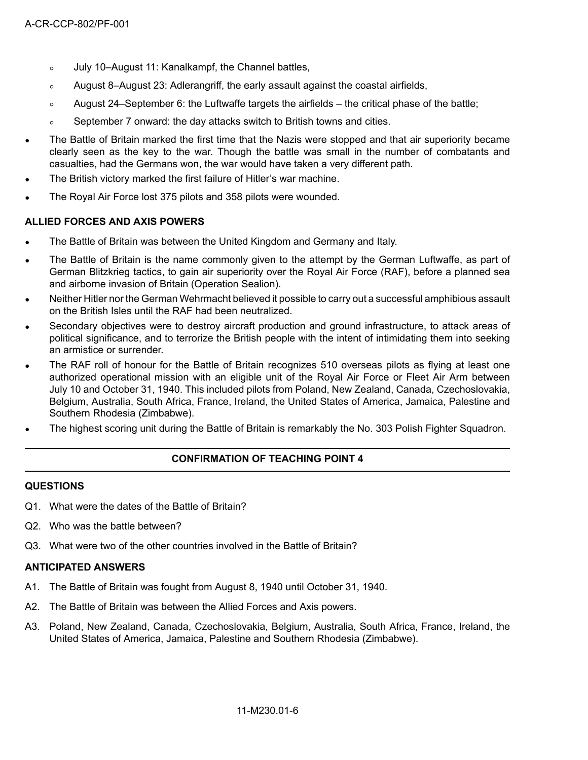- July 10–August 11: Kanalkampf, the Channel battles,
- August 8–August 23: Adlerangriff, the early assault against the coastal airfields,
- August 24–September 6: the Luftwaffe targets the airfields the critical phase of the battle;
- September 7 onward: the day attacks switch to British towns and cities.
- The Battle of Britain marked the first time that the Nazis were stopped and that air superiority became clearly seen as the key to the war. Though the battle was small in the number of combatants and casualties, had the Germans won, the war would have taken a very different path.
- The British victory marked the first failure of Hitler's war machine.
- The Royal Air Force lost 375 pilots and 358 pilots were wounded.

## **ALLIED FORCES AND AXIS POWERS**

- The Battle of Britain was between the United Kingdom and Germany and Italy.
- The Battle of Britain is the name commonly given to the attempt by the German Luftwaffe, as part of German Blitzkrieg tactics, to gain air superiority over the Royal Air Force (RAF), before a planned sea and airborne invasion of Britain (Operation Sealion).
- Neither Hitler nor the German Wehrmacht believed it possible to carry out a successful amphibious assault on the British Isles until the RAF had been neutralized.
- Secondary objectives were to destroy aircraft production and ground infrastructure, to attack areas of political significance, and to terrorize the British people with the intent of intimidating them into seeking an armistice or surrender.
- The RAF roll of honour for the Battle of Britain recognizes 510 overseas pilots as flying at least one authorized operational mission with an eligible unit of the Royal Air Force or Fleet Air Arm between July 10 and October 31, 1940. This included pilots from Poland, New Zealand, Canada, Czechoslovakia, Belgium, Australia, South Africa, France, Ireland, the United States of America, Jamaica, Palestine and Southern Rhodesia (Zimbabwe).
- The highest scoring unit during the Battle of Britain is remarkably the No. 303 Polish Fighter Squadron.

## **CONFIRMATION OF TEACHING POINT 4**

## **QUESTIONS**

- Q1. What were the dates of the Battle of Britain?
- Q2. Who was the battle between?
- Q3. What were two of the other countries involved in the Battle of Britain?

## **ANTICIPATED ANSWERS**

- A1. The Battle of Britain was fought from August 8, 1940 until October 31, 1940.
- A2. The Battle of Britain was between the Allied Forces and Axis powers.
- A3. Poland, New Zealand, Canada, Czechoslovakia, Belgium, Australia, South Africa, France, Ireland, the United States of America, Jamaica, Palestine and Southern Rhodesia (Zimbabwe).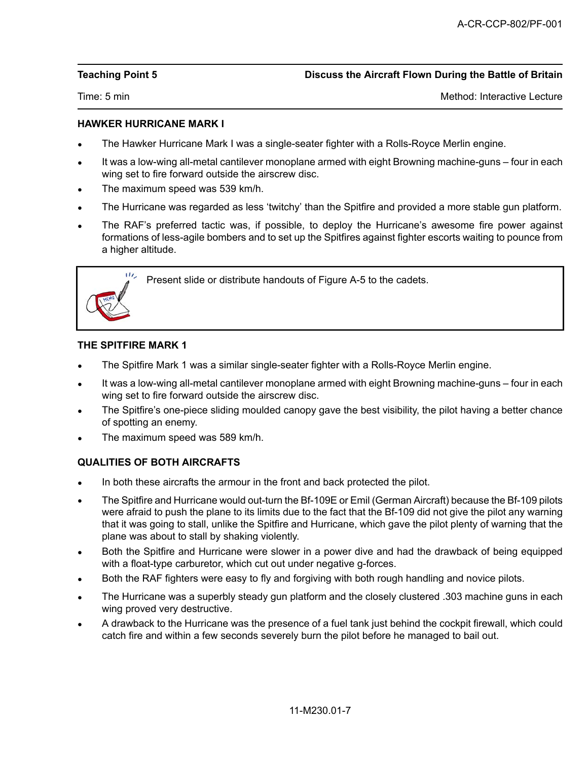## **Teaching Point 5 Discuss the Aircraft Flown During the Battle of Britain**

Time: 5 min Method: Interactive Lecture Companies and Method: Interactive Lecture

## **HAWKER HURRICANE MARK I**

- The Hawker Hurricane Mark I was a single-seater fighter with a Rolls-Royce Merlin engine.
- It was a low-wing all-metal cantilever monoplane armed with eight Browning machine-guns – four in each wing set to fire forward outside the airscrew disc.
- The maximum speed was 539 km/h.
- The Hurricane was regarded as less 'twitchy' than the Spitfire and provided a more stable gun platform.
- The RAF's preferred tactic was, if possible, to deploy the Hurricane's awesome fire power against formations of less-agile bombers and to set up the Spitfires against fighter escorts waiting to pounce from a higher altitude.



Present slide or distribute handouts of Figure A-5 to the cadets.

## **THE SPITFIRE MARK 1**

- The Spitfire Mark 1 was a similar single-seater fighter with a Rolls-Royce Merlin engine.
- It was a low-wing all-metal cantilever monoplane armed with eight Browning machine-guns – four in each wing set to fire forward outside the airscrew disc.
- The Spitfire's one-piece sliding moulded canopy gave the best visibility, the pilot having a better chance of spotting an enemy.
- The maximum speed was 589 km/h.

## **QUALITIES OF BOTH AIRCRAFTS**

- In both these aircrafts the armour in the front and back protected the pilot.
- The Spitfire and Hurricane would out-turn the Bf-109E or Emil (German Aircraft) because the Bf-109 pilots were afraid to push the plane to its limits due to the fact that the Bf-109 did not give the pilot any warning that it was going to stall, unlike the Spitfire and Hurricane, which gave the pilot plenty of warning that the plane was about to stall by shaking violently.
- Both the Spitfire and Hurricane were slower in a power dive and had the drawback of being equipped with a float-type carburetor, which cut out under negative g-forces.
- Both the RAF fighters were easy to fly and forgiving with both rough handling and novice pilots.
- The Hurricane was a superbly steady gun platform and the closely clustered .303 machine guns in each wing proved very destructive.
- A drawback to the Hurricane was the presence of a fuel tank just behind the cockpit firewall, which could catch fire and within a few seconds severely burn the pilot before he managed to bail out.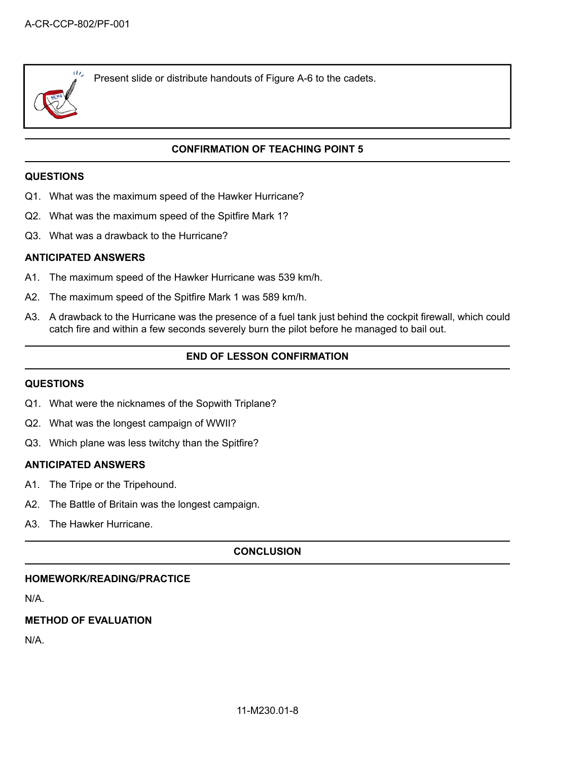

Present slide or distribute handouts of Figure A-6 to the cadets.

## **CONFIRMATION OF TEACHING POINT 5**

## **QUESTIONS**

- Q1. What was the maximum speed of the Hawker Hurricane?
- Q2. What was the maximum speed of the Spitfire Mark 1?
- Q3. What was a drawback to the Hurricane?

## **ANTICIPATED ANSWERS**

- A1. The maximum speed of the Hawker Hurricane was 539 km/h.
- A2. The maximum speed of the Spitfire Mark 1 was 589 km/h.
- A3. A drawback to the Hurricane was the presence of a fuel tank just behind the cockpit firewall, which could catch fire and within a few seconds severely burn the pilot before he managed to bail out.

# **END OF LESSON CONFIRMATION**

## **QUESTIONS**

- Q1. What were the nicknames of the Sopwith Triplane?
- Q2. What was the longest campaign of WWII?
- Q3. Which plane was less twitchy than the Spitfire?

# **ANTICIPATED ANSWERS**

- A1. The Tripe or the Tripehound.
- A2. The Battle of Britain was the longest campaign.
- A3. The Hawker Hurricane.

## **CONCLUSION**

## **HOMEWORK/READING/PRACTICE**

N/A.

# **METHOD OF EVALUATION**

N/A.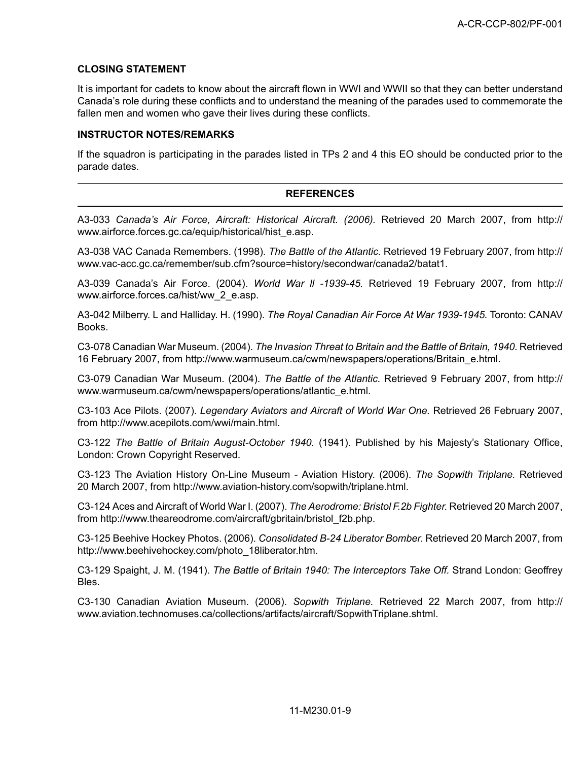## **CLOSING STATEMENT**

It is important for cadets to know about the aircraft flown in WWI and WWII so that they can better understand Canada's role during these conflicts and to understand the meaning of the parades used to commemorate the fallen men and women who gave their lives during these conflicts.

## **INSTRUCTOR NOTES/REMARKS**

If the squadron is participating in the parades listed in TPs 2 and 4 this EO should be conducted prior to the parade dates.

## **REFERENCES**

A3-033 *Canada's Air Force, Aircraft: Historical Aircraft. (2006).* Retrieved 20 March 2007, from http:// www.airforce.forces.gc.ca/equip/historical/hist\_e.asp.

A3-038 VAC Canada Remembers. (1998). *The Battle of the Atlantic.* Retrieved 19 February 2007, from http:// www.vac-acc.gc.ca/remember/sub.cfm?source=history/secondwar/canada2/batat1.

A3-039 Canada's Air Force. (2004). *World War ll -1939-45.* Retrieved 19 February 2007, from http:// www.airforce.forces.ca/hist/ww\_2\_e.asp.

A3-042 Milberry. L and Halliday. H. (1990). *The Royal Canadian Air Force At War 1939-1945.* Toronto: CANAV Books.

C3-078 Canadian War Museum. (2004). *The Invasion Threat to Britain and the Battle of Britain, 1940.* Retrieved 16 February 2007, from http://www.warmuseum.ca/cwm/newspapers/operations/Britain\_e.html.

C3-079 Canadian War Museum. (2004). *The Battle of the Atlantic.* Retrieved 9 February 2007, from http:// www.warmuseum.ca/cwm/newspapers/operations/atlantic\_e.html.

C3-103 Ace Pilots. (2007). *Legendary Aviators and Aircraft of World War One.* Retrieved 26 February 2007, from http://www.acepilots.com/wwi/main.html.

C3-122 *The Battle of Britain August-October 1940.* (1941). Published by his Majesty's Stationary Office, London: Crown Copyright Reserved.

C3-123 The Aviation History On-Line Museum - Aviation History. (2006). *The Sopwith Triplane.* Retrieved 20 March 2007, from http://www.aviation-history.com/sopwith/triplane.html.

C3-124 Aces and Aircraft of World War I. (2007). *The Aerodrome: Bristol F.2b Fighter.* Retrieved 20 March 2007, from http://www.theareodrome.com/aircraft/gbritain/bristol\_f2b.php.

C3-125 Beehive Hockey Photos. (2006). *Consolidated B-24 Liberator Bomber.* Retrieved 20 March 2007, from http://www.beehivehockey.com/photo\_18liberator.htm.

C3-129 Spaight, J. M. (1941). *The Battle of Britain 1940: The Interceptors Take Off.* Strand London: Geoffrey Bles.

C3-130 Canadian Aviation Museum. (2006). *Sopwith Triplane.* Retrieved 22 March 2007, from http:// www.aviation.technomuses.ca/collections/artifacts/aircraft/SopwithTriplane.shtml.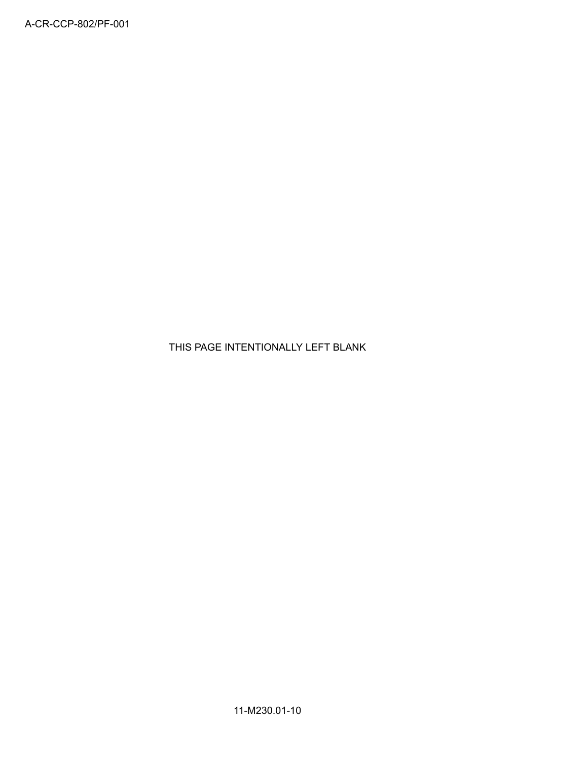THIS PAGE INTENTIONALLY LEFT BLANK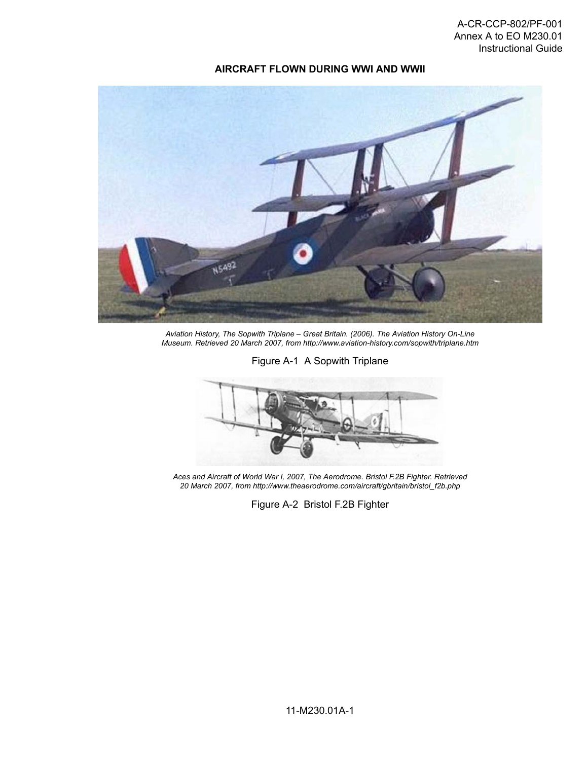## **AIRCRAFT FLOWN DURING WWI AND WWII**



*Aviation History, The Sopwith Triplane – Great Britain. (2006). The Aviation History On-Line Museum. Retrieved 20 March 2007, from http://www.aviation-history.com/sopwith/triplane.htm*

Figure A-1 A Sopwith Triplane



*Aces and Aircraft of World War I, 2007, The Aerodrome. Bristol F.2B Fighter. Retrieved 20 March 2007, from http://www.theaerodrome.com/aircraft/gbritain/bristol\_f2b.php*

Figure A-2 Bristol F.2B Fighter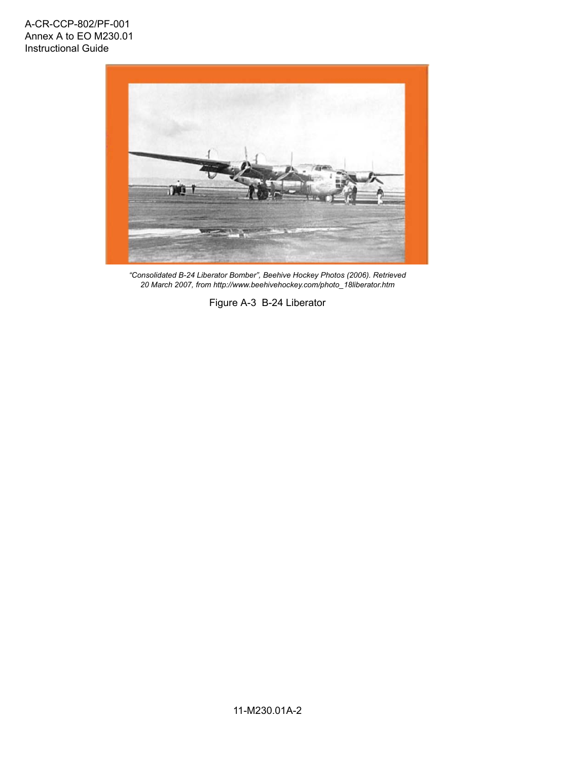

*"Consolidated B-24 Liberator Bomber", Beehive Hockey Photos (2006). Retrieved 20 March 2007, from http://www.beehivehockey.com/photo\_18liberator.htm*

Figure A-3 B-24 Liberator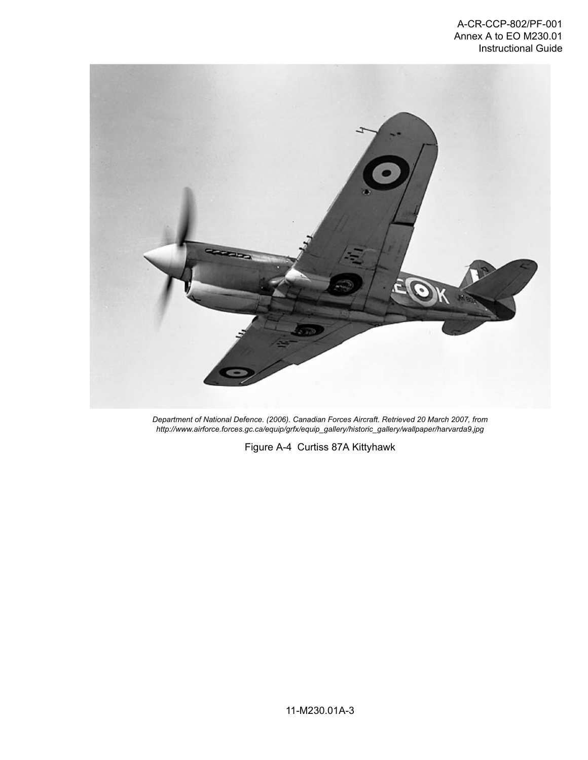

*Department of National Defence. (2006). Canadian Forces Aircraft. Retrieved 20 March 2007, from http://www.airforce.forces.gc.ca/equip/grfx/equip\_gallery/historic\_gallery/wallpaper/harvarda9.jpg*

Figure A-4 Curtiss 87A Kittyhawk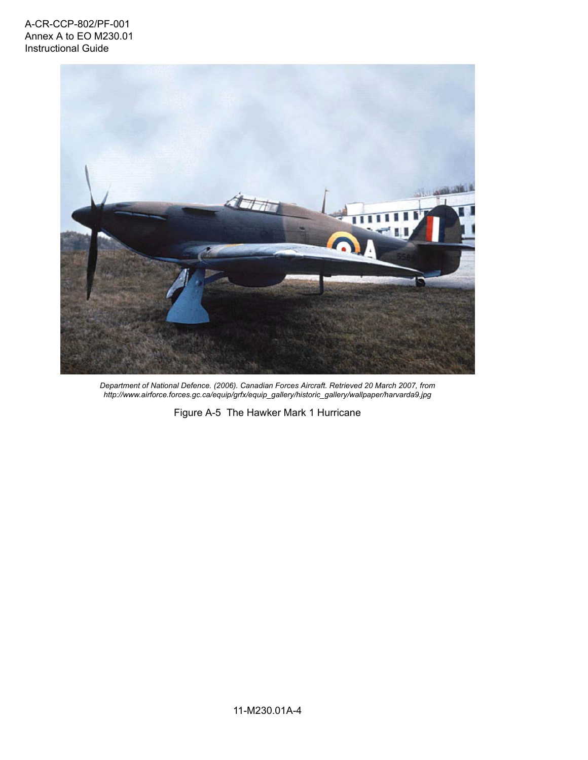

*Department of National Defence. (2006). Canadian Forces Aircraft. Retrieved 20 March 2007, from http://www.airforce.forces.gc.ca/equip/grfx/equip\_gallery/historic\_gallery/wallpaper/harvarda9.jpg*

Figure A-5 The Hawker Mark 1 Hurricane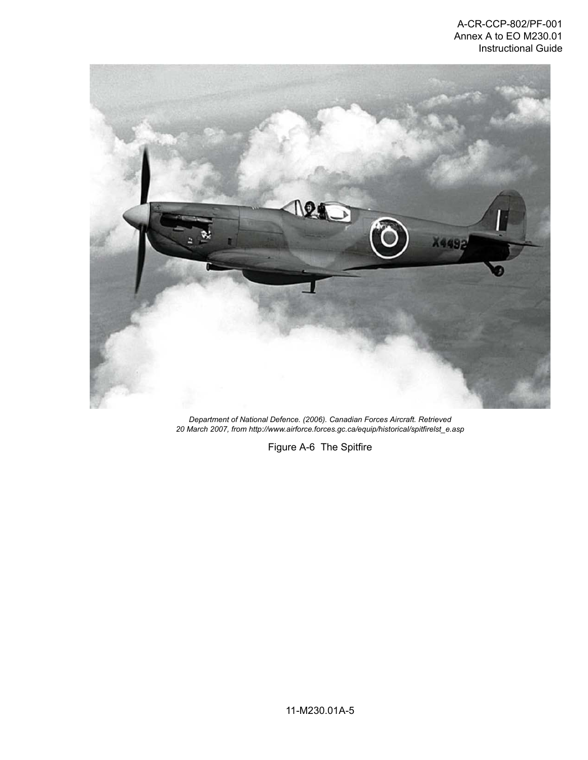

*Department of National Defence. (2006). Canadian Forces Aircraft. Retrieved 20 March 2007, from http://www.airforce.forces.gc.ca/equip/historical/spitfirelst\_e.asp*

Figure A-6 The Spitfire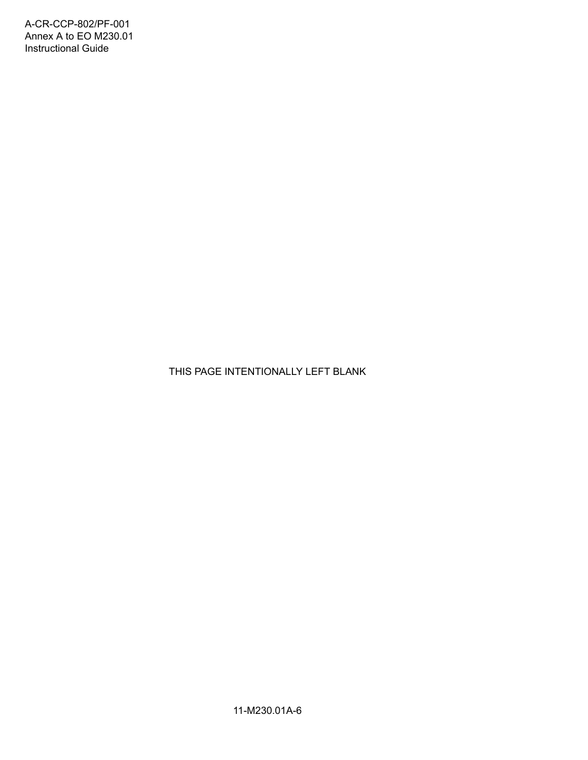THIS PAGE INTENTIONALLY LEFT BLANK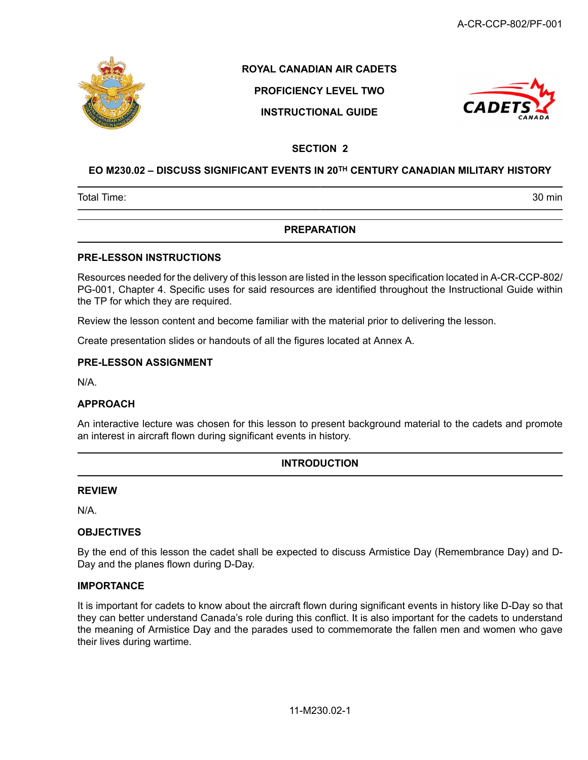

# **ROYAL CANADIAN AIR CADETS**

**PROFICIENCY LEVEL TWO**

# **INSTRUCTIONAL GUIDE**



# **SECTION 2**

# **EO M230.02 – DISCUSS SIGNIFICANT EVENTS IN 20TH CENTURY CANADIAN MILITARY HISTORY**

Total Time: 30 min

# **PREPARATION**

## **PRE-LESSON INSTRUCTIONS**

Resources needed for the delivery of this lesson are listed in the lesson specification located in A-CR-CCP-802/ PG-001, Chapter 4. Specific uses for said resources are identified throughout the Instructional Guide within the TP for which they are required.

Review the lesson content and become familiar with the material prior to delivering the lesson.

Create presentation slides or handouts of all the figures located at Annex A.

## **PRE-LESSON ASSIGNMENT**

N/A.

## **APPROACH**

An interactive lecture was chosen for this lesson to present background material to the cadets and promote an interest in aircraft flown during significant events in history.

## **INTRODUCTION**

## **REVIEW**

N/A.

## **OBJECTIVES**

By the end of this lesson the cadet shall be expected to discuss Armistice Day (Remembrance Day) and D-Day and the planes flown during D-Day.

## **IMPORTANCE**

It is important for cadets to know about the aircraft flown during significant events in history like D-Day so that they can better understand Canada's role during this conflict. It is also important for the cadets to understand the meaning of Armistice Day and the parades used to commemorate the fallen men and women who gave their lives during wartime.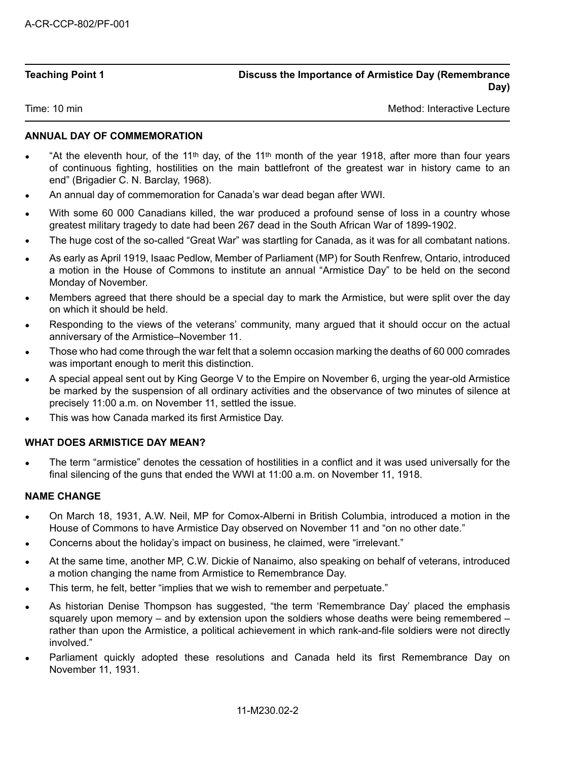# **Teaching Point 1 Discuss the Importance of Armistice Day (Remembrance Day)**

Time: 10 min Method: Interactive Lecture Communication of the Method: Interactive Lecture

## **ANNUAL DAY OF COMMEMORATION**

- "At the eleventh hour, of the 11<sup>th</sup> day, of the 11<sup>th</sup> month of the year 1918, after more than four years of continuous fighting, hostilities on the main battlefront of the greatest war in history came to an end" (Brigadier C. N. Barclay, 1968).
- An annual day of commemoration for Canada's war dead began after WWI.
- With some 60 000 Canadians killed, the war produced a profound sense of loss in a country whose greatest military tragedy to date had been 267 dead in the South African War of 1899-1902.
- The huge cost of the so-called "Great War" was startling for Canada, as it was for all combatant nations.
- As early as April 1919, Isaac Pedlow, Member of Parliament (MP) for South Renfrew, Ontario, introduced a motion in the House of Commons to institute an annual "Armistice Day" to be held on the second Monday of November.
- Members agreed that there should be a special day to mark the Armistice, but were split over the day on which it should be held.
- Responding to the views of the veterans' community, many argued that it should occur on the actual anniversary of the Armistice–November 11.
- Those who had come through the war felt that a solemn occasion marking the deaths of 60 000 comrades was important enough to merit this distinction.
- A special appeal sent out by King George V to the Empire on November 6, urging the year-old Armistice be marked by the suspension of all ordinary activities and the observance of two minutes of silence at precisely 11:00 a.m. on November 11, settled the issue.
- This was how Canada marked its first Armistice Day.

# **WHAT DOES ARMISTICE DAY MEAN?**

• The term "armistice" denotes the cessation of hostilities in a conflict and it was used universally for the final silencing of the guns that ended the WWI at 11:00 a.m. on November 11, 1918.

## **NAME CHANGE**

- On March 18, 1931, A.W. Neil, MP for Comox-Alberni in British Columbia, introduced a motion in the House of Commons to have Armistice Day observed on November 11 and "on no other date."
- Concerns about the holiday's impact on business, he claimed, were "irrelevant."
- At the same time, another MP, C.W. Dickie of Nanaimo, also speaking on behalf of veterans, introduced a motion changing the name from Armistice to Remembrance Day.
- This term, he felt, better "implies that we wish to remember and perpetuate."
- As historian Denise Thompson has suggested, "the term 'Remembrance Day' placed the emphasis squarely upon memory – and by extension upon the soldiers whose deaths were being remembered – rather than upon the Armistice, a political achievement in which rank-and-file soldiers were not directly involved."
- Parliament quickly adopted these resolutions and Canada held its first Remembrance Day on November 11, 1931.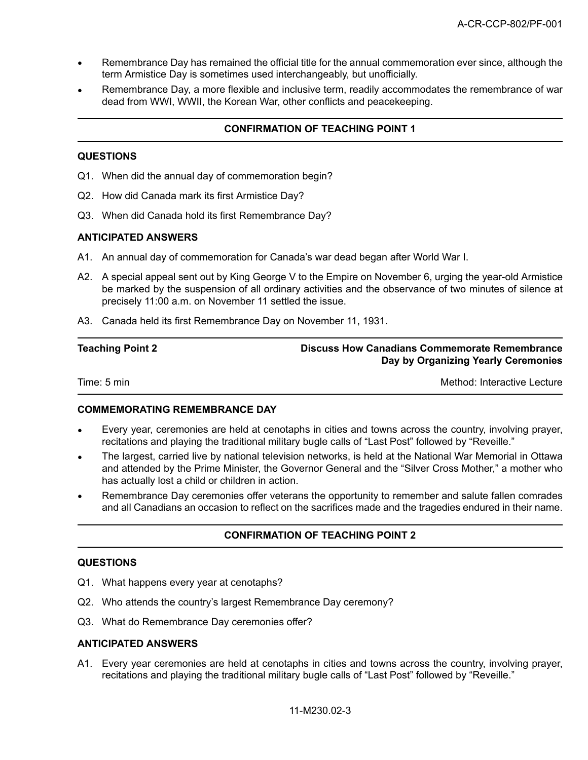- Remembrance Day has remained the official title for the annual commemoration ever since, although the term Armistice Day is sometimes used interchangeably, but unofficially.
- Remembrance Day, a more flexible and inclusive term, readily accommodates the remembrance of war dead from WWI, WWII, the Korean War, other conflicts and peacekeeping.

## **CONFIRMATION OF TEACHING POINT 1**

## **QUESTIONS**

- Q1. When did the annual day of commemoration begin?
- Q2. How did Canada mark its first Armistice Day?
- Q3. When did Canada hold its first Remembrance Day?

## **ANTICIPATED ANSWERS**

- A1. An annual day of commemoration for Canada's war dead began after World War I.
- A2. A special appeal sent out by King George V to the Empire on November 6, urging the year-old Armistice be marked by the suspension of all ordinary activities and the observance of two minutes of silence at precisely 11:00 a.m. on November 11 settled the issue.
- A3. Canada held its first Remembrance Day on November 11, 1931.

**Teaching Point 2 Discuss How Canadians Commemorate Remembrance Day by Organizing Yearly Ceremonies**

Time: 5 min Method: Interactive Lecture Control of Time: 5 min Method: Interactive Lecture

## **COMMEMORATING REMEMBRANCE DAY**

- Every year, ceremonies are held at cenotaphs in cities and towns across the country, involving prayer, recitations and playing the traditional military bugle calls of "Last Post" followed by "Reveille."
- The largest, carried live by national television networks, is held at the National War Memorial in Ottawa and attended by the Prime Minister, the Governor General and the "Silver Cross Mother," a mother who has actually lost a child or children in action.
- Remembrance Day ceremonies offer veterans the opportunity to remember and salute fallen comrades and all Canadians an occasion to reflect on the sacrifices made and the tragedies endured in their name.

## **CONFIRMATION OF TEACHING POINT 2**

## **QUESTIONS**

- Q1. What happens every year at cenotaphs?
- Q2. Who attends the country's largest Remembrance Day ceremony?
- Q3. What do Remembrance Day ceremonies offer?

## **ANTICIPATED ANSWERS**

A1. Every year ceremonies are held at cenotaphs in cities and towns across the country, involving prayer, recitations and playing the traditional military bugle calls of "Last Post" followed by "Reveille."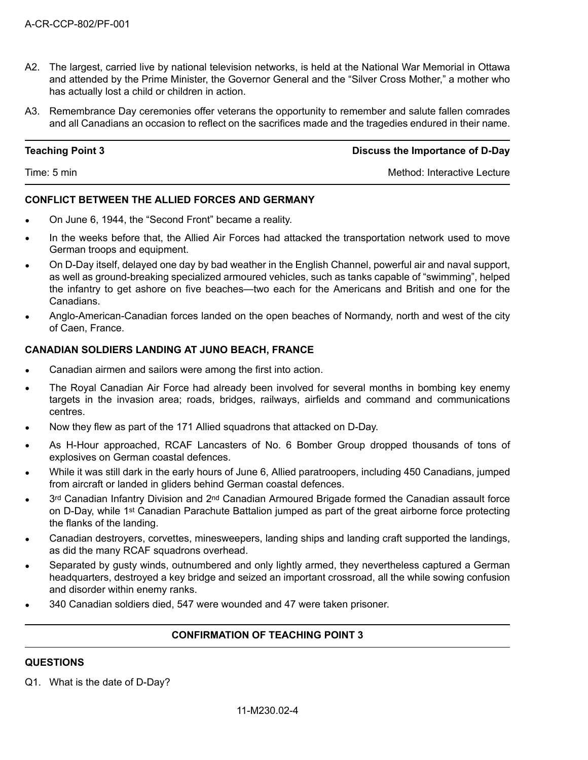- A2. The largest, carried live by national television networks, is held at the National War Memorial in Ottawa and attended by the Prime Minister, the Governor General and the "Silver Cross Mother," a mother who has actually lost a child or children in action.
- A3. Remembrance Day ceremonies offer veterans the opportunity to remember and salute fallen comrades and all Canadians an occasion to reflect on the sacrifices made and the tragedies endured in their name.

## **Teaching Point 3 Discuss the Importance of D-Day**

## Time: 5 min Method: Interactive Lecture Communication of the Method: Interactive Lecture

# **CONFLICT BETWEEN THE ALLIED FORCES AND GERMANY**

- On June 6, 1944, the "Second Front" became a reality.
- In the weeks before that, the Allied Air Forces had attacked the transportation network used to move German troops and equipment.
- On D-Day itself, delayed one day by bad weather in the English Channel, powerful air and naval support, as well as ground-breaking specialized armoured vehicles, such as tanks capable of "swimming", helped the infantry to get ashore on five beaches—two each for the Americans and British and one for the Canadians.
- Anglo-American-Canadian forces landed on the open beaches of Normandy, north and west of the city of Caen, France.

## **CANADIAN SOLDIERS LANDING AT JUNO BEACH, FRANCE**

- Canadian airmen and sailors were among the first into action.
- The Royal Canadian Air Force had already been involved for several months in bombing key enemy targets in the invasion area; roads, bridges, railways, airfields and command and communications centres.
- Now they flew as part of the 171 Allied squadrons that attacked on D-Day.
- As H-Hour approached, RCAF Lancasters of No. 6 Bomber Group dropped thousands of tons of explosives on German coastal defences.
- While it was still dark in the early hours of June 6, Allied paratroopers, including 450 Canadians, jumped from aircraft or landed in gliders behind German coastal defences.
- 3rd Canadian Infantry Division and 2nd Canadian Armoured Brigade formed the Canadian assault force on D-Day, while 1st Canadian Parachute Battalion jumped as part of the great airborne force protecting the flanks of the landing.
- Canadian destroyers, corvettes, minesweepers, landing ships and landing craft supported the landings, as did the many RCAF squadrons overhead.
- Separated by gusty winds, outnumbered and only lightly armed, they nevertheless captured a German headquarters, destroyed a key bridge and seized an important crossroad, all the while sowing confusion and disorder within enemy ranks.
- 340 Canadian soldiers died, 547 were wounded and 47 were taken prisoner.

# **CONFIRMATION OF TEACHING POINT 3**

# **QUESTIONS**

Q1. What is the date of D-Day?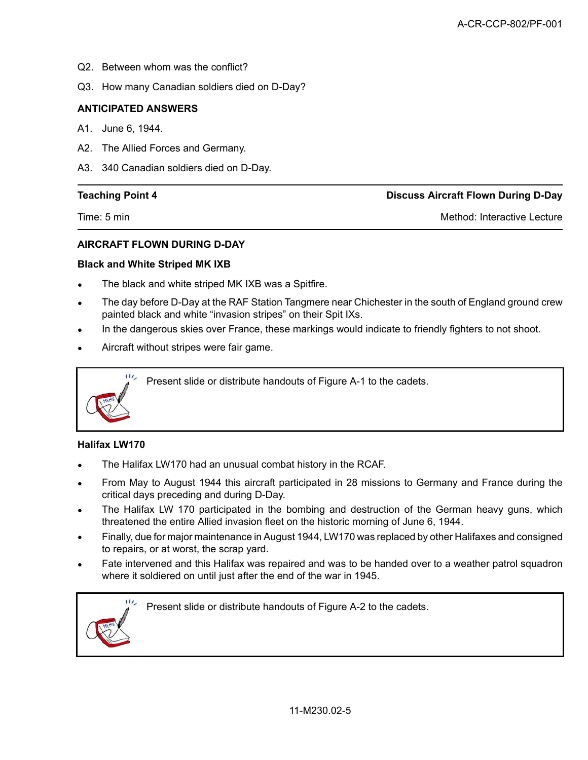- Q2. Between whom was the conflict?
- Q3. How many Canadian soldiers died on D-Day?

## **ANTICIPATED ANSWERS**

- A1. June 6, 1944.
- A2. The Allied Forces and Germany.
- A3. 340 Canadian soldiers died on D-Day.

**Teaching Point 4 Discuss Aircraft Flown During D-Day**

Time: 5 min Method: Interactive Lecture Company of Time: 5 min Method: Interactive Lecture

## **AIRCRAFT FLOWN DURING D-DAY**

## **Black and White Striped MK IXB**

- The black and white striped MK IXB was a Spitfire.
- The day before D-Day at the RAF Station Tangmere near Chichester in the south of England ground crew painted black and white "invasion stripes" on their Spit IXs.
- In the dangerous skies over France, these markings would indicate to friendly fighters to not shoot.
- Aircraft without stripes were fair game.



Present slide or distribute handouts of Figure A-1 to the cadets.

## **Halifax LW170**

- The Halifax LW170 had an unusual combat history in the RCAF.
- From May to August 1944 this aircraft participated in 28 missions to Germany and France during the critical days preceding and during D-Day.
- The Halifax LW 170 participated in the bombing and destruction of the German heavy guns, which threatened the entire Allied invasion fleet on the historic morning of June 6, 1944.
- Finally, due for major maintenance in August 1944, LW170 was replaced by other Halifaxes and consigned to repairs, or at worst, the scrap yard.
- Fate intervened and this Halifax was repaired and was to be handed over to a weather patrol squadron where it soldiered on until just after the end of the war in 1945.



Present slide or distribute handouts of Figure A-2 to the cadets.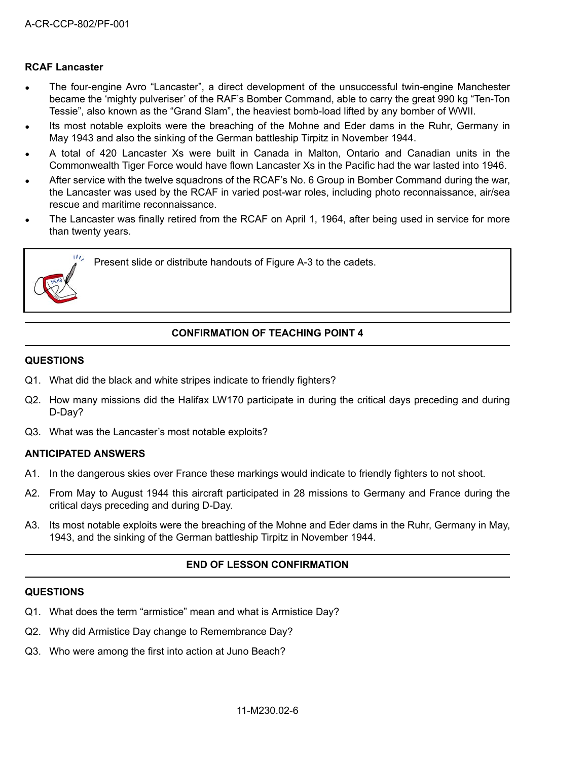# **RCAF Lancaster**

- The four-engine Avro "Lancaster", a direct development of the unsuccessful twin-engine Manchester became the 'mighty pulveriser' of the RAF's Bomber Command, able to carry the great 990 kg "Ten-Ton Tessie", also known as the "Grand Slam", the heaviest bomb-load lifted by any bomber of WWII.
- Its most notable exploits were the breaching of the Mohne and Eder dams in the Ruhr, Germany in May 1943 and also the sinking of the German battleship Tirpitz in November 1944.
- A total of 420 Lancaster Xs were built in Canada in Malton, Ontario and Canadian units in the Commonwealth Tiger Force would have flown Lancaster Xs in the Pacific had the war lasted into 1946.
- After service with the twelve squadrons of the RCAF's No. 6 Group in Bomber Command during the war, the Lancaster was used by the RCAF in varied post-war roles, including photo reconnaissance, air/sea rescue and maritime reconnaissance.
- The Lancaster was finally retired from the RCAF on April 1, 1964, after being used in service for more than twenty years.



Present slide or distribute handouts of Figure A-3 to the cadets.

# **CONFIRMATION OF TEACHING POINT 4**

## **QUESTIONS**

- Q1. What did the black and white stripes indicate to friendly fighters?
- Q2. How many missions did the Halifax LW170 participate in during the critical days preceding and during D-Day?
- Q3. What was the Lancaster's most notable exploits?

## **ANTICIPATED ANSWERS**

- A1. In the dangerous skies over France these markings would indicate to friendly fighters to not shoot.
- A2. From May to August 1944 this aircraft participated in 28 missions to Germany and France during the critical days preceding and during D-Day.
- A3. Its most notable exploits were the breaching of the Mohne and Eder dams in the Ruhr, Germany in May, 1943, and the sinking of the German battleship Tirpitz in November 1944.

## **END OF LESSON CONFIRMATION**

## **QUESTIONS**

- Q1. What does the term "armistice" mean and what is Armistice Day?
- Q2. Why did Armistice Day change to Remembrance Day?
- Q3. Who were among the first into action at Juno Beach?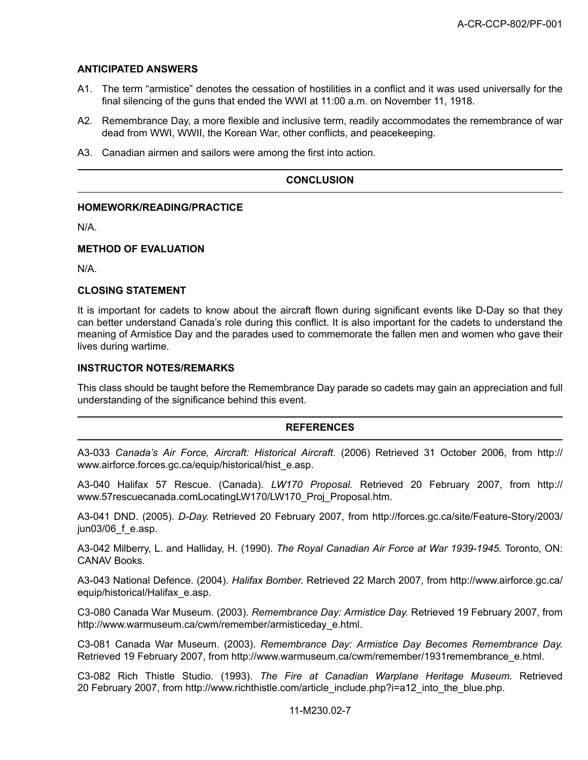## **ANTICIPATED ANSWERS**

- A1. The term "armistice" denotes the cessation of hostilities in a conflict and it was used universally for the final silencing of the guns that ended the WWI at 11:00 a.m. on November 11, 1918.
- A2. Remembrance Day, a more flexible and inclusive term, readily accommodates the remembrance of war dead from WWI, WWII, the Korean War, other conflicts, and peacekeeping.
- A3. Canadian airmen and sailors were among the first into action.

# **CONCLUSION**

## **HOMEWORK/READING/PRACTICE**

N/A.

## **METHOD OF EVALUATION**

N/A.

## **CLOSING STATEMENT**

It is important for cadets to know about the aircraft flown during significant events like D-Day so that they can better understand Canada's role during this conflict. It is also important for the cadets to understand the meaning of Armistice Day and the parades used to commemorate the fallen men and women who gave their lives during wartime.

## **INSTRUCTOR NOTES/REMARKS**

This class should be taught before the Remembrance Day parade so cadets may gain an appreciation and full understanding of the significance behind this event.

# **REFERENCES**

A3-033 *Canada's Air Force, Aircraft: Historical Aircraft.* (2006) Retrieved 31 October 2006, from http:// www.airforce.forces.gc.ca/equip/historical/hist\_e.asp.

A3-040 Halifax 57 Rescue. (Canada). *LW170 Proposal.* Retrieved 20 February 2007, from http:// www.57rescuecanada.comLocatingLW170/LW170\_Proj\_Proposal.htm.

A3-041 DND. (2005). *D-Day.* Retrieved 20 February 2007, from http://forces.gc.ca/site/Feature-Story/2003/ jun03/06 $f$ e.asp.

A3-042 Milberry, L. and Halliday, H. (1990). *The Royal Canadian Air Force at War 1939-1945.* Toronto, ON: CANAV Books.

A3-043 National Defence. (2004). *Halifax Bomber.* Retrieved 22 March 2007, from http://www.airforce.gc.ca/ equip/historical/Halifax\_e.asp.

C3-080 Canada War Museum. (2003). *Remembrance Day: Armistice Day.* Retrieved 19 February 2007, from http://www.warmuseum.ca/cwm/remember/armisticeday\_e.html.

C3-081 Canada War Museum. (2003). *Remembrance Day: Armistice Day Becomes Remembrance Day.* Retrieved 19 February 2007, from http://www.warmuseum.ca/cwm/remember/1931remembrance\_e.html.

C3-082 Rich Thistle Studio. (1993). *The Fire at Canadian Warplane Heritage Museum.* Retrieved 20 February 2007, from http://www.richthistle.com/article\_include.php?i=a12\_into\_the\_blue.php.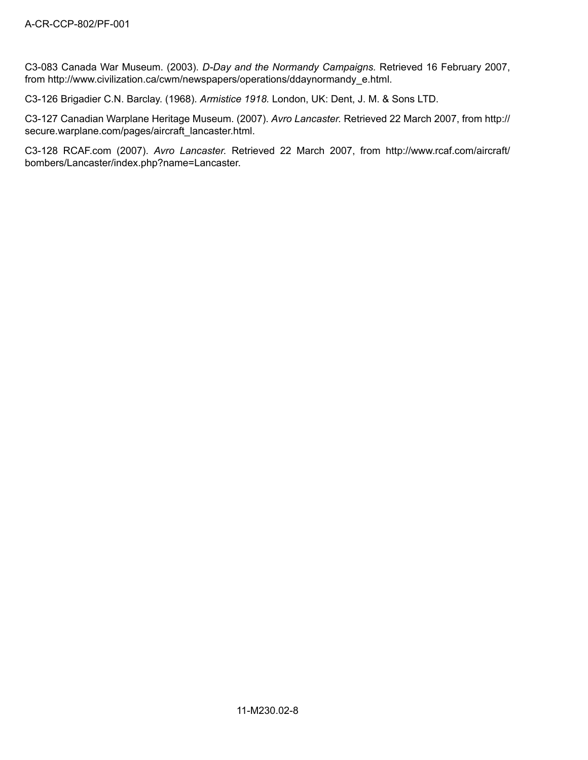C3-083 Canada War Museum. (2003). *D-Day and the Normandy Campaigns.* Retrieved 16 February 2007, from http://www.civilization.ca/cwm/newspapers/operations/ddaynormandy\_e.html.

C3-126 Brigadier C.N. Barclay. (1968). *Armistice 1918.* London, UK: Dent, J. M. & Sons LTD.

C3-127 Canadian Warplane Heritage Museum. (2007). *Avro Lancaster.* Retrieved 22 March 2007, from http:// secure.warplane.com/pages/aircraft\_lancaster.html.

C3-128 RCAF.com (2007). *Avro Lancaster.* Retrieved 22 March 2007, from http://www.rcaf.com/aircraft/ bombers/Lancaster/index.php?name=Lancaster.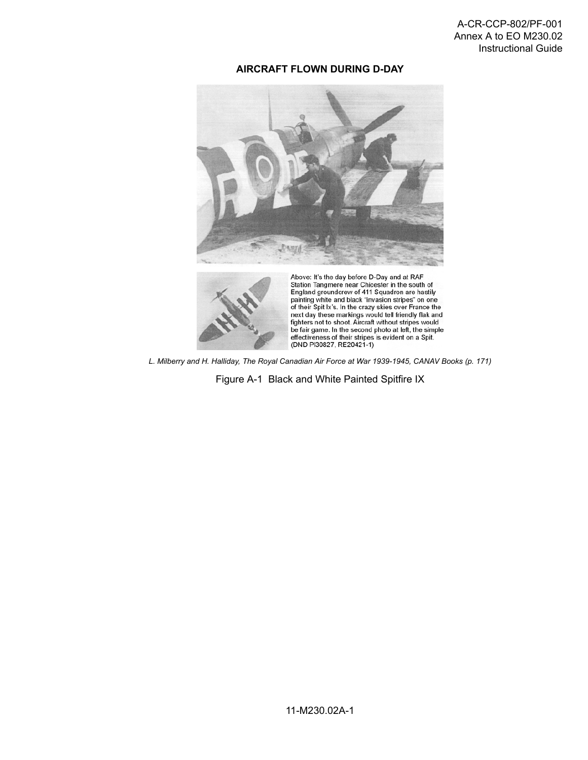## **AIRCRAFT FLOWN DURING D-DAY**





Above: It's the day before D-Day and at RAF<br>Station Tangmere near Chicester in the south of<br>England groundcrew of 411 Squadron are hastily<br>painting white and black "invasion stripes" on one<br>of their Spit Ix's. In the craz effectiveness of their stripes is evident on a Spit.<br>(DND PI30827, RE20421-1)

*L. Milberry and H. Halliday, The Royal Canadian Air Force at War 1939-1945, CANAV Books (p. 171)*

Figure A-1 Black and White Painted Spitfire IX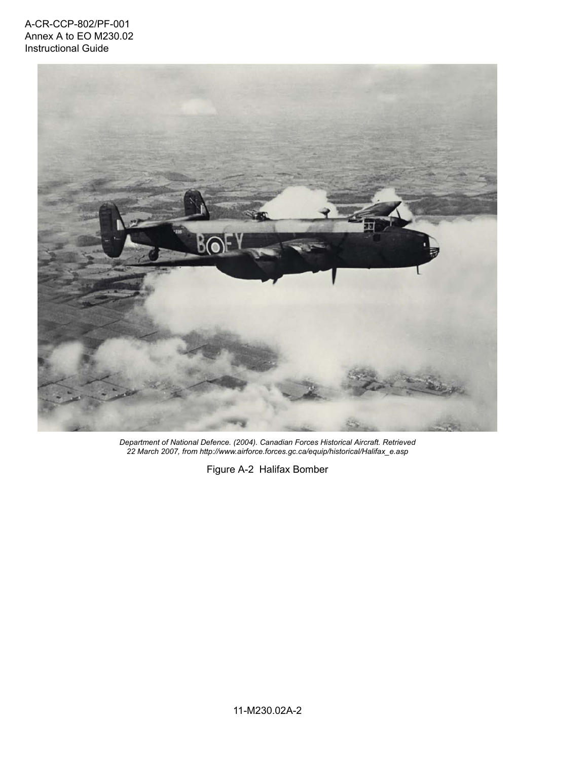

*Department of National Defence. (2004). Canadian Forces Historical Aircraft. Retrieved 22 March 2007, from http://www.airforce.forces.gc.ca/equip/historical/Halifax\_e.asp*

Figure A-2 Halifax Bomber